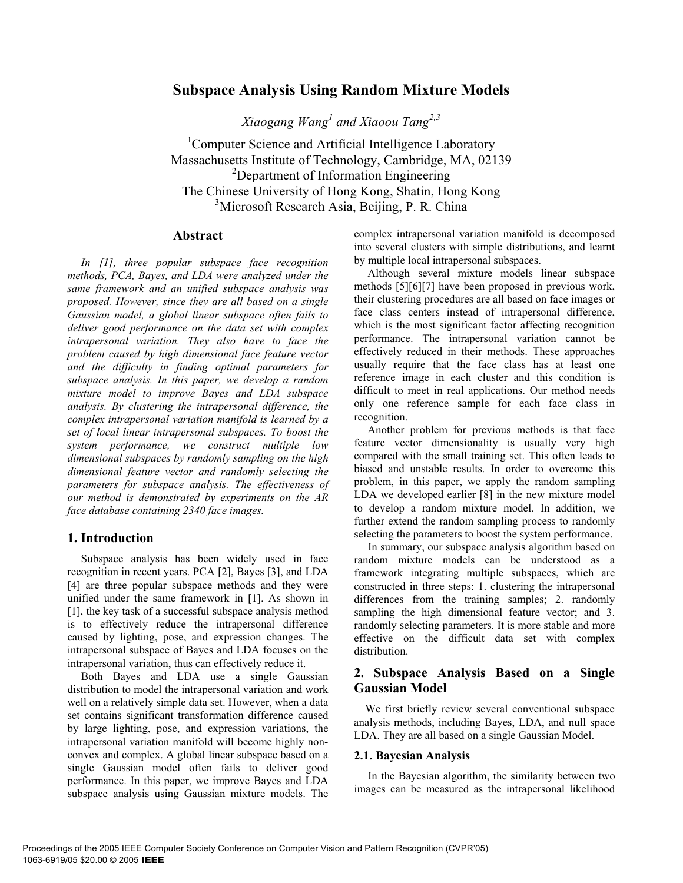# **Subspace Analysis Using Random Mixture Models**

*Xiaogang Wang1 and Xiaoou Tang2,3*

<sup>1</sup>Computer Science and Artificial Intelligence Laboratory Massachusetts Institute of Technology, Cambridge, MA, 02139 <sup>2</sup>Department of Information Engineering The Chinese University of Hong Kong, Shatin, Hong Kong <sup>3</sup>Microsoft Research Asia, Beijing, P. R. China

## **Abstract**

*In [1], three popular subspace face recognition methods, PCA, Bayes, and LDA were analyzed under the same framework and an unified subspace analysis was proposed. However, since they are all based on a single Gaussian model, a global linear subspace often fails to deliver good performance on the data set with complex intrapersonal variation. They also have to face the problem caused by high dimensional face feature vector and the difficulty in finding optimal parameters for subspace analysis. In this paper, we develop a random mixture model to improve Bayes and LDA subspace analysis. By clustering the intrapersonal difference, the complex intrapersonal variation manifold is learned by a set of local linear intrapersonal subspaces. To boost the system performance, we construct multiple low dimensional subspaces by randomly sampling on the high dimensional feature vector and randomly selecting the parameters for subspace analysis. The effectiveness of our method is demonstrated by experiments on the AR face database containing 2340 face images.* 

## **1. Introduction**

Subspace analysis has been widely used in face recognition in recent years. PCA [2], Bayes [3], and LDA [4] are three popular subspace methods and they were unified under the same framework in [1]. As shown in [1], the key task of a successful subspace analysis method is to effectively reduce the intrapersonal difference caused by lighting, pose, and expression changes. The intrapersonal subspace of Bayes and LDA focuses on the intrapersonal variation, thus can effectively reduce it.

Both Bayes and LDA use a single Gaussian distribution to model the intrapersonal variation and work well on a relatively simple data set. However, when a data set contains significant transformation difference caused by large lighting, pose, and expression variations, the intrapersonal variation manifold will become highly nonconvex and complex. A global linear subspace based on a single Gaussian model often fails to deliver good performance. In this paper, we improve Bayes and LDA subspace analysis using Gaussian mixture models. The

complex intrapersonal variation manifold is decomposed into several clusters with simple distributions, and learnt by multiple local intrapersonal subspaces.

Although several mixture models linear subspace methods [5][6][7] have been proposed in previous work, their clustering procedures are all based on face images or face class centers instead of intrapersonal difference, which is the most significant factor affecting recognition performance. The intrapersonal variation cannot be effectively reduced in their methods. These approaches usually require that the face class has at least one reference image in each cluster and this condition is difficult to meet in real applications. Our method needs only one reference sample for each face class in recognition.

Another problem for previous methods is that face feature vector dimensionality is usually very high compared with the small training set. This often leads to biased and unstable results. In order to overcome this problem, in this paper, we apply the random sampling LDA we developed earlier [8] in the new mixture model to develop a random mixture model. In addition, we further extend the random sampling process to randomly selecting the parameters to boost the system performance.

 In summary, our subspace analysis algorithm based on random mixture models can be understood as a framework integrating multiple subspaces, which are constructed in three steps: 1. clustering the intrapersonal differences from the training samples; 2. randomly sampling the high dimensional feature vector; and 3. randomly selecting parameters. It is more stable and more effective on the difficult data set with complex distribution.

## **2. Subspace Analysis Based on a Single Gaussian Model**

We first briefly review several conventional subspace analysis methods, including Bayes, LDA, and null space LDA. They are all based on a single Gaussian Model.

#### **2.1. Bayesian Analysis**

 In the Bayesian algorithm, the similarity between two images can be measured as the intrapersonal likelihood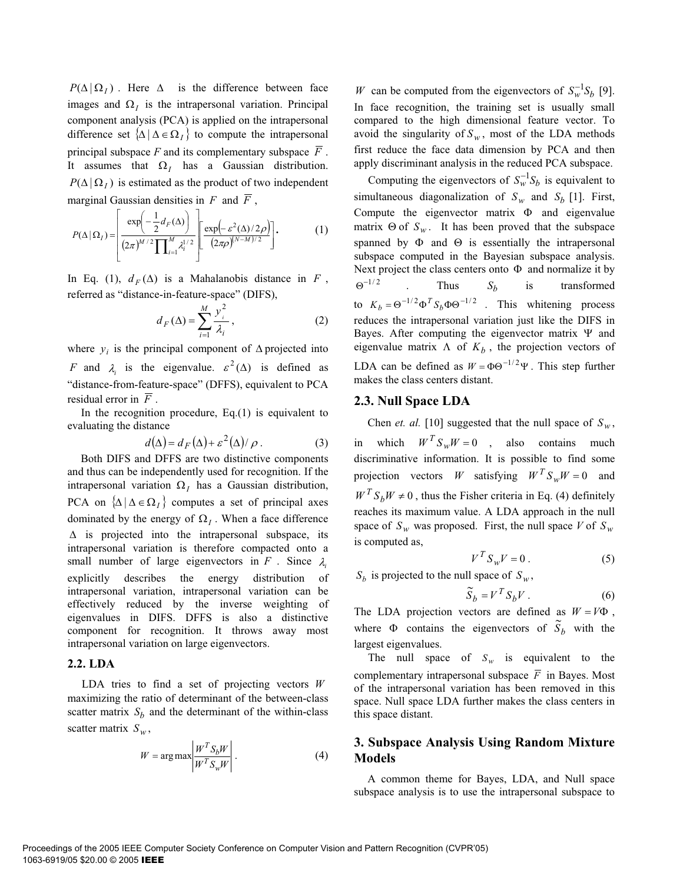$P(\Delta | \Omega_I)$ . Here  $\Delta$  is the difference between face images and  $\Omega$ <sub>*I*</sub> is the intrapersonal variation. Principal component analysis (PCA) is applied on the intrapersonal difference set  $\{\Delta \mid \Delta \in \Omega_I\}$  to compute the intrapersonal principal subspace  $F$  and its complementary subspace  $\overline{F}$ . It assumes that  $\Omega_i$  has a Gaussian distribution.  $P(\Delta | \Omega_I)$  is estimated as the product of two independent marginal Gaussian densities in  $F$  and  $\overline{F}$ ,

$$
P(\Delta | \Omega_I) = \left[ \frac{\exp\left(-\frac{1}{2}d_F(\Delta)\right)}{(2\pi)^{M/2}\prod_{i=1}^M \lambda_i^{1/2}} \right] \left[ \frac{\exp\left(-\varepsilon^2(\Delta)/2\rho\right)}{(2\pi\rho)^{(N-M)/2}} \right].
$$
 (1)

In Eq. (1),  $d_F(\Delta)$  is a Mahalanobis distance in *F*, referred as "distance-in-feature-space" (DIFS),

$$
d_F(\Delta) = \sum_{i=1}^{M} \frac{y_i^2}{\lambda_i},
$$
 (2)

where  $y_i$  is the principal component of  $\Delta$  projected into *F* and  $\lambda_i$  is the eigenvalue.  $\varepsilon^2(\Delta)$  is defined as "distance-from-feature-space" (DFFS), equivalent to PCA residual error in  $\overline{F}$ .

In the recognition procedure,  $Eq.(1)$  is equivalent to evaluating the distance

$$
d(\Delta) = d_F(\Delta) + \varepsilon^2(\Delta)/\rho.
$$
 (3)

Both DIFS and DFFS are two distinctive components and thus can be independently used for recognition. If the intrapersonal variation  $\Omega_I$  has a Gaussian distribution, PCA on  $\{\Delta \mid \Delta \in \Omega_I\}$  computes a set of principal axes dominated by the energy of  $\Omega$ <sub>*I*</sub>. When a face difference  $\Delta$  is projected into the intrapersonal subspace, its intrapersonal variation is therefore compacted onto a small number of large eigenvectors in  $F$ . Since  $\lambda$ explicitly describes the energy distribution of intrapersonal variation, intrapersonal variation can be effectively reduced by the inverse weighting of eigenvalues in DIFS. DFFS is also a distinctive component for recognition. It throws away most intrapersonal variation on large eigenvectors.

## **2.2. LDA**

LDA tries to find a set of projecting vectors *W* maximizing the ratio of determinant of the between-class scatter matrix  $S_b$  and the determinant of the within-class scatter matrix  $S_w$ ,

$$
W = \arg \max \left| \frac{W^T S_b W}{W^T S_w W} \right|.
$$
 (4)

*W* can be computed from the eigenvectors of  $S_w^{-1}S_b$  [9]. In face recognition, the training set is usually small compared to the high dimensional feature vector. To avoid the singularity of  $S_w$ , most of the LDA methods first reduce the face data dimension by PCA and then apply discriminant analysis in the reduced PCA subspace.

Computing the eigenvectors of  $S_w^{-1}S_b$  is equivalent to simultaneous diagonalization of  $S_w$  and  $S_b$  [1]. First, Compute the eigenvector matrix  $\Phi$  and eigenvalue matrix  $\Theta$  of  $S_w$ . It has been proved that the subspace spanned by  $\Phi$  and  $\Theta$  is essentially the intrapersonal subspace computed in the Bayesian subspace analysis. Next project the class centers onto  $\Phi$  and normalize it by  $\Theta^{-1/2}$  . Thus  $S_b$  is transformed to  $K_b = \Theta^{-1/2} \Phi^T S_b \Phi \Theta^{-1/2}$ . This whitening process reduces the intrapersonal variation just like the DIFS in Bayes. After computing the eigenvector matrix  $\Psi$  and eigenvalue matrix  $\Lambda$  of  $K_b$ , the projection vectors of LDA can be defined as  $W = \Phi \Theta^{-1/2} \Psi$ . This step further makes the class centers distant.

## **2.3. Null Space LDA**

Chen *et. al.* [10] suggested that the null space of  $S_w$ ,

in which  $W^T S_w W = 0$ , also contains much discriminative information. It is possible to find some projection vectors *W* satisfying  $W^T S_w W = 0$  and  $W^T S_h W \neq 0$ , thus the Fisher criteria in Eq. (4) definitely reaches its maximum value. A LDA approach in the null space of  $S_w$  was proposed. First, the null space *V* of  $S_w$ is computed as,

$$
V^T S_w V = 0.
$$
 (5)

 $S_b$  is projected to the null space of  $S_w$ ,

$$
\widetilde{S}_b = V^T S_b V . \tag{6}
$$

The LDA projection vectors are defined as  $W = V\Phi$ , where  $\Phi$  contains the eigenvectors of  $S_b$  with the largest eigenvalues.

The null space of  $S_w$  is equivalent to the complementary intrapersonal subspace  $\overline{F}$  in Bayes. Most of the intrapersonal variation has been removed in this space. Null space LDA further makes the class centers in this space distant.

## **3. Subspace Analysis Using Random Mixture Models**

A common theme for Bayes, LDA, and Null space subspace analysis is to use the intrapersonal subspace to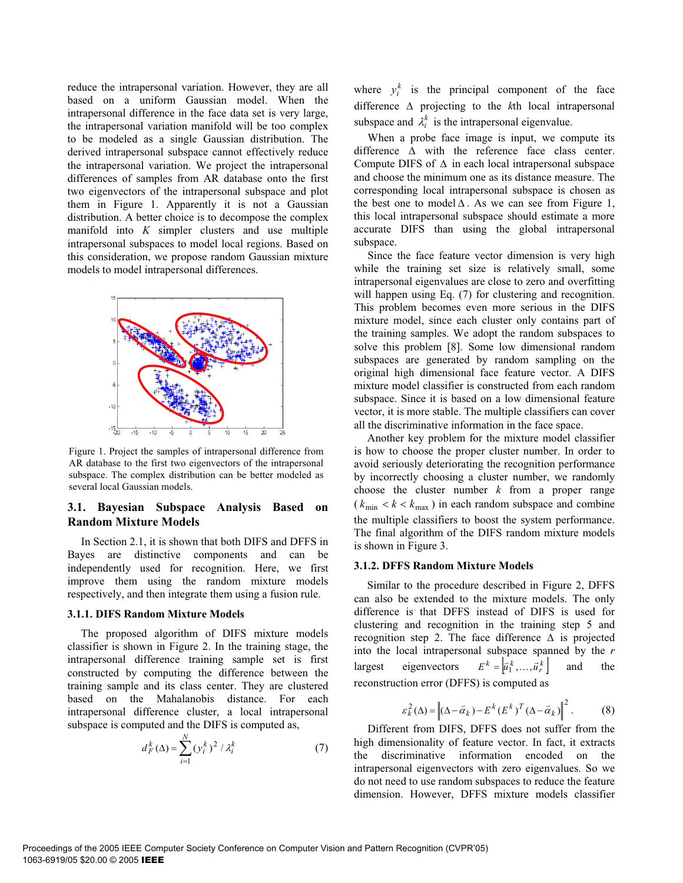reduce the intrapersonal variation. However, they are all based on a uniform Gaussian model. When the intrapersonal difference in the face data set is very large, the intrapersonal variation manifold will be too complex to be modeled as a single Gaussian distribution. The derived intrapersonal subspace cannot effectively reduce the intrapersonal variation. We project the intrapersonal differences of samples from AR database onto the first two eigenvectors of the intrapersonal subspace and plot them in Figure 1. Apparently it is not a Gaussian distribution. A better choice is to decompose the complex manifold into *K* simpler clusters and use multiple intrapersonal subspaces to model local regions. Based on this consideration, we propose random Gaussian mixture models to model intrapersonal differences.



Figure 1. Project the samples of intrapersonal difference from AR database to the first two eigenvectors of the intrapersonal subspace. The complex distribution can be better modeled as several local Gaussian models.

## **3.1. Bayesian Subspace Analysis Based on Random Mixture Models**

In Section 2.1, it is shown that both DIFS and DFFS in Bayes are distinctive components and can be independently used for recognition. Here, we first improve them using the random mixture models respectively, and then integrate them using a fusion rule.

#### **3.1.1. DIFS Random Mixture Models**

The proposed algorithm of DIFS mixture models classifier is shown in Figure 2. In the training stage, the intrapersonal difference training sample set is first constructed by computing the difference between the training sample and its class center. They are clustered based on the Mahalanobis distance. For each intrapersonal difference cluster, a local intrapersonal subspace is computed and the DIFS is computed as,

$$
d_F^k(\Delta) = \sum_{i=1}^N (y_i^k)^2 / \lambda_i^k \tag{7}
$$

where  $y_i^k$  is the principal component of the face difference  $\Delta$  projecting to the *k*th local intrapersonal subspace and  $\lambda_i^k$  is the intrapersonal eigenvalue.

When a probe face image is input, we compute its difference  $\Delta$  with the reference face class center. Compute DIFS of  $\Delta$  in each local intrapersonal subspace and choose the minimum one as its distance measure. The corresponding local intrapersonal subspace is chosen as the best one to model  $\Delta$ . As we can see from Figure 1, this local intrapersonal subspace should estimate a more accurate DIFS than using the global intrapersonal subspace.

Since the face feature vector dimension is very high while the training set size is relatively small, some intrapersonal eigenvalues are close to zero and overfitting will happen using Eq. (7) for clustering and recognition. This problem becomes even more serious in the DIFS mixture model, since each cluster only contains part of the training samples. We adopt the random subspaces to solve this problem [8]. Some low dimensional random subspaces are generated by random sampling on the original high dimensional face feature vector. A DIFS mixture model classifier is constructed from each random subspace. Since it is based on a low dimensional feature vector, it is more stable. The multiple classifiers can cover all the discriminative information in the face space.

Another key problem for the mixture model classifier is how to choose the proper cluster number. In order to avoid seriously deteriorating the recognition performance by incorrectly choosing a cluster number, we randomly choose the cluster number *k* from a proper range  $(k_{\min} < k < k_{\max})$  in each random subspace and combine the multiple classifiers to boost the system performance. The final algorithm of the DIFS random mixture models is shown in Figure 3.

## **3.1.2. DFFS Random Mixture Models**

Similar to the procedure described in Figure 2, DFFS can also be extended to the mixture models. The only difference is that DFFS instead of DIFS is used for clustering and recognition in the training step 5 and recognition step 2. The face difference  $\Delta$  is projected into the local intrapersonal subspace spanned by the *r* largest eigenvectors  $E^k = \left[\overline{u}_1^k, ..., \overline{u}_r^k\right]$  and the reconstruction error (DFFS) is computed as

$$
\varepsilon_k^2(\Delta) = \left\| (\Delta - \vec{\alpha}_k) - E^k (E^k)^T (\Delta - \vec{\alpha}_k) \right\|^2. \tag{8}
$$

Different from DIFS, DFFS does not suffer from the high dimensionality of feature vector. In fact, it extracts the discriminative information encoded on the intrapersonal eigenvectors with zero eigenvalues. So we do not need to use random subspaces to reduce the feature dimension. However, DFFS mixture models classifier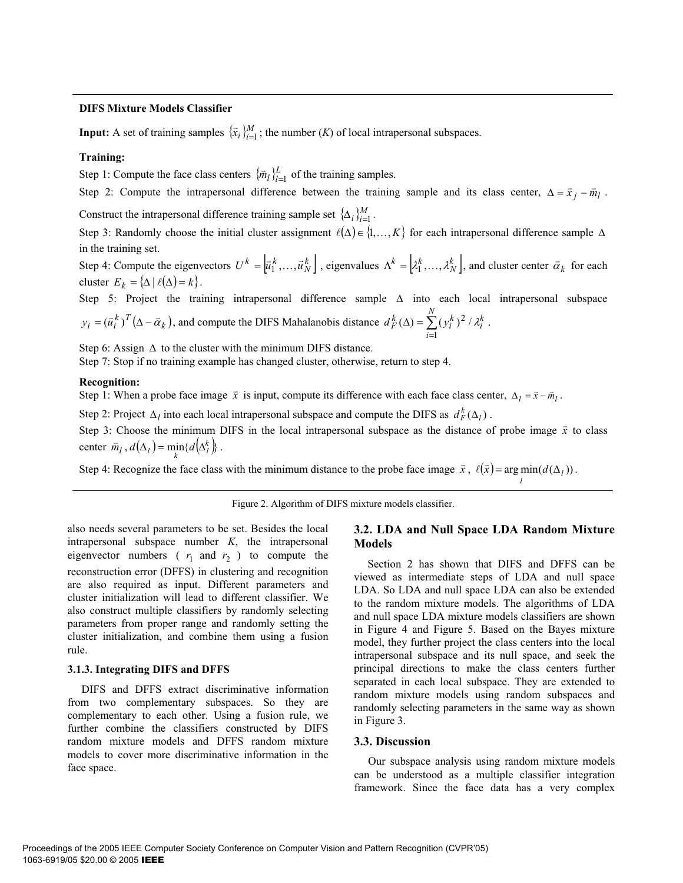### **DIFS Mixture Models Classifier**

**Input:** A set of training samples  $\{\vec{x}_i\}_{i=1}^M$ ; the number  $(K)$  of local intrapersonal subspaces.

## **Training:**

Step 1: Compute the face class centers  $\{\bar{m}_l\}_{l=1}^L$  of the training samples.

Step 2: Compute the intrapersonal difference between the training sample and its class center,  $\Delta = \bar{x}_j - \bar{m}_l$ .

Construct the intrapersonal difference training sample set  $\{\Delta_i\}_{i=1}^M$ .

Step 3: Randomly choose the initial cluster assignment  $\ell(\Delta) \in \{1, ..., K\}$  for each intrapersonal difference sample  $\Delta$ in the training set.

Step 4: Compute the eigenvectors  $U^k = \begin{bmatrix} \bar{u}_1^k, \dots, \bar{u}_N^k \end{bmatrix}$ , eigenvalues  $\Lambda^k = \begin{bmatrix} \lambda_1^k, \dots, \lambda_N^k \end{bmatrix}$ , and cluster center  $\bar{\alpha}_k$  for each cluster  $E_k = {\Delta | \ell(\Delta) = k}.$ 

Step 5: Project the training intrapersonal difference sample  $\Delta$  into each local intrapersonal subspace  $k \setminus T$ *N k k k*

$$
y_i = (\vec{u}_i^k)^T (\Delta - \vec{\alpha}_k)
$$
, and compute the DIFS Mahalanobis distance  $d_F^k (\Delta) = \sum_{i=1}^N (y_i^k)^2 / \lambda_i^k$ .

Step 6: Assign  $\Delta$  to the cluster with the minimum DIFS distance.

Step 7: Stop if no training example has changed cluster, otherwise, return to step 4.

## **Recognition:**

Step 1: When a probe face image  $\bar{x}$  is input, compute its difference with each face class center,  $\Delta_l = \bar{x} - \bar{m}_l$ .

Step 2: Project  $\Delta_l$  into each local intrapersonal subspace and compute the DIFS as  $d_F^k(\Delta_l)$ .

Step 3: Choose the minimum DIFS in the local intrapersonal subspace as the distance of probe image  $\vec{x}$  to class center  $\bar{m}_l$ ,  $d(\Delta_l) = \min_k \{d(\Delta_l^k)\}.$ 

Step 4: Recognize the face class with the minimum distance to the probe face image  $\bar{x}$ ,  $\ell(\bar{x}) = \arg\min_{l}(d(\Delta_l))$  $\ell(\vec{x}) = \arg \min(d(\Delta_l))$ .

## Figure 2. Algorithm of DIFS mixture models classifier.

also needs several parameters to be set. Besides the local intrapersonal subspace number *K*, the intrapersonal eigenvector numbers ( $r_1$  and  $r_2$ ) to compute the reconstruction error (DFFS) in clustering and recognition are also required as input. Different parameters and cluster initialization will lead to different classifier. We also construct multiple classifiers by randomly selecting parameters from proper range and randomly setting the cluster initialization, and combine them using a fusion rule.

#### **3.1.3. Integrating DIFS and DFFS**

 DIFS and DFFS extract discriminative information from two complementary subspaces. So they are complementary to each other. Using a fusion rule, we further combine the classifiers constructed by DIFS random mixture models and DFFS random mixture models to cover more discriminative information in the face space.

## **3.2. LDA and Null Space LDA Random Mixture Models**

Section 2 has shown that DIFS and DFFS can be viewed as intermediate steps of LDA and null space LDA. So LDA and null space LDA can also be extended to the random mixture models. The algorithms of LDA and null space LDA mixture models classifiers are shown in Figure 4 and Figure 5. Based on the Bayes mixture model, they further project the class centers into the local intrapersonal subspace and its null space, and seek the principal directions to make the class centers further separated in each local subspace. They are extended to random mixture models using random subspaces and randomly selecting parameters in the same way as shown in Figure 3.

#### **3.3. Discussion**

 Our subspace analysis using random mixture models can be understood as a multiple classifier integration framework. Since the face data has a very complex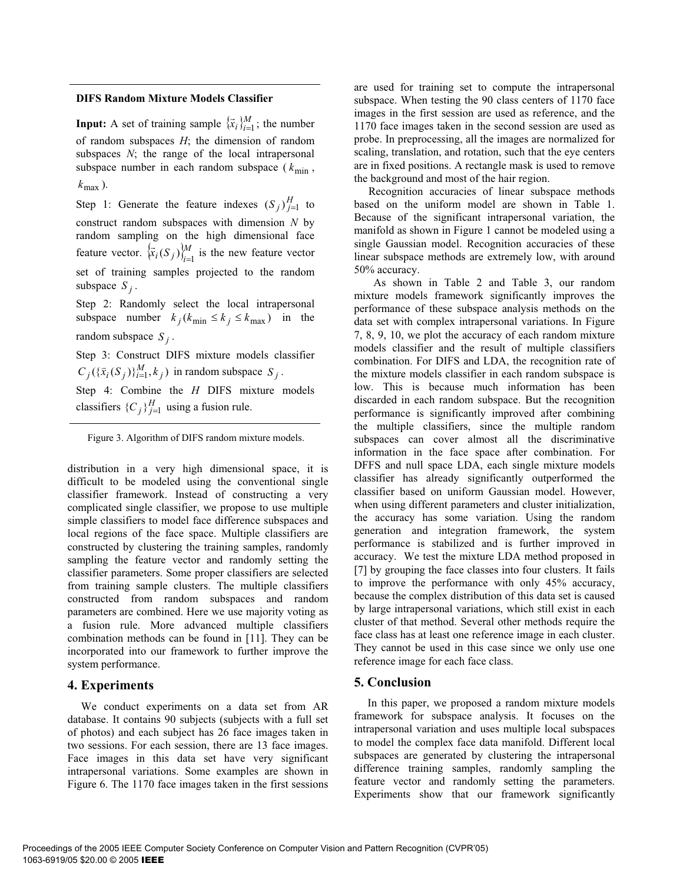## **DIFS Random Mixture Models Classifier**

**Input:** A set of training sample  $\{\vec{x}_i\}_{i=1}^M$ ; the number of random subspaces *H*; the dimension of random subspaces *N*; the range of the local intrapersonal subspace number in each random subspace ( $k_{\text{min}}$ ,  $k_{\text{max}}$ ).

Step 1: Generate the feature indexes  $(S_j)_{j=1}^H$  to construct random subspaces with dimension *N* by random sampling on the high dimensional face feature vector.  $\{ \vec{x}_i(S_j) \}_{i=1}^M$  is the new feature vector set of training samples projected to the random subspace  $S_i$ .

Step 2: Randomly select the local intrapersonal subspace number  $k_j$  ( $k_{\text{min}} \le k_j \le k_{\text{max}}$ ) in the random subspace  $S_i$ .

Step 3: Construct DIFS mixture models classifier  $C_j({\{\bar{x}_i(S_j)\}_{i=1}^M, k_j})$  in random subspace  $S_j$ .

Step 4: Combine the *H* DIFS mixture models classifiers  ${C_i}_{i=1}^H$  using a fusion rule.

Figure 3. Algorithm of DIFS random mixture models.

distribution in a very high dimensional space, it is difficult to be modeled using the conventional single classifier framework. Instead of constructing a very complicated single classifier, we propose to use multiple simple classifiers to model face difference subspaces and local regions of the face space. Multiple classifiers are constructed by clustering the training samples, randomly sampling the feature vector and randomly setting the classifier parameters. Some proper classifiers are selected from training sample clusters. The multiple classifiers constructed from random subspaces and random parameters are combined. Here we use majority voting as a fusion rule. More advanced multiple classifiers combination methods can be found in [11]. They can be incorporated into our framework to further improve the system performance.

## **4. Experiments**

We conduct experiments on a data set from AR database. It contains 90 subjects (subjects with a full set of photos) and each subject has 26 face images taken in two sessions. For each session, there are 13 face images. Face images in this data set have very significant intrapersonal variations. Some examples are shown in Figure 6. The 1170 face images taken in the first sessions

are used for training set to compute the intrapersonal subspace. When testing the 90 class centers of 1170 face images in the first session are used as reference, and the 1170 face images taken in the second session are used as probe. In preprocessing, all the images are normalized for scaling, translation, and rotation, such that the eye centers are in fixed positions. A rectangle mask is used to remove the background and most of the hair region.

Recognition accuracies of linear subspace methods based on the uniform model are shown in Table 1. Because of the significant intrapersonal variation, the manifold as shown in Figure 1 cannot be modeled using a single Gaussian model. Recognition accuracies of these linear subspace methods are extremely low, with around 50% accuracy.

 As shown in Table 2 and Table 3, our random mixture models framework significantly improves the performance of these subspace analysis methods on the data set with complex intrapersonal variations. In Figure 7, 8, 9, 10, we plot the accuracy of each random mixture models classifier and the result of multiple classifiers combination. For DIFS and LDA, the recognition rate of the mixture models classifier in each random subspace is low. This is because much information has been discarded in each random subspace. But the recognition performance is significantly improved after combining the multiple classifiers, since the multiple random subspaces can cover almost all the discriminative information in the face space after combination. For DFFS and null space LDA, each single mixture models classifier has already significantly outperformed the classifier based on uniform Gaussian model. However, when using different parameters and cluster initialization, the accuracy has some variation. Using the random generation and integration framework, the system performance is stabilized and is further improved in accuracy. We test the mixture LDA method proposed in [7] by grouping the face classes into four clusters. It fails to improve the performance with only 45% accuracy, because the complex distribution of this data set is caused by large intrapersonal variations, which still exist in each cluster of that method. Several other methods require the face class has at least one reference image in each cluster. They cannot be used in this case since we only use one reference image for each face class.

## **5. Conclusion**

In this paper, we proposed a random mixture models framework for subspace analysis. It focuses on the intrapersonal variation and uses multiple local subspaces to model the complex face data manifold. Different local subspaces are generated by clustering the intrapersonal difference training samples, randomly sampling the feature vector and randomly setting the parameters. Experiments show that our framework significantly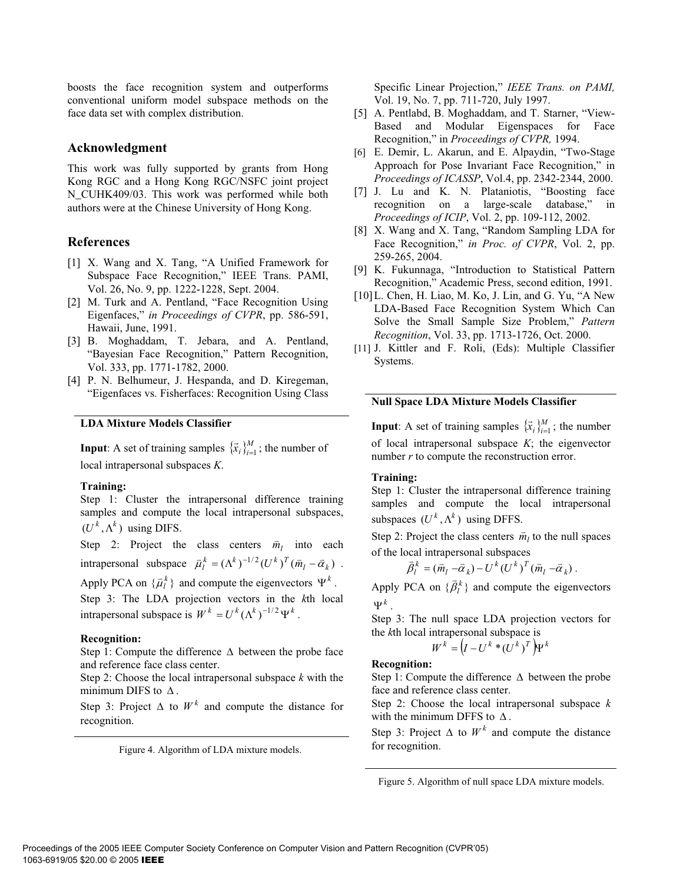boosts the face recognition system and outperforms conventional uniform model subspace methods on the face data set with complex distribution.

## **Acknowledgment**

This work was fully supported by grants from Hong Kong RGC and a Hong Kong RGC/NSFC joint project N\_CUHK409/03. This work was performed while both authors were at the Chinese University of Hong Kong.

## **References**

- [1] X. Wang and X. Tang, "A Unified Framework for Subspace Face Recognition," IEEE Trans. PAMI, Vol. 26, No. 9, pp. 1222-1228, Sept. 2004.
- [2] M. Turk and A. Pentland, "Face Recognition Using Eigenfaces," *in Proceedings of CVPR*, pp. 586-591, Hawaii, June, 1991.
- [3] B. Moghaddam, T. Jebara, and A. Pentland, "Bayesian Face Recognition," Pattern Recognition, Vol. 333, pp. 1771-1782, 2000.
- [4] P. N. Belhumeur, J. Hespanda, and D. Kiregeman, "Eigenfaces vs. Fisherfaces: Recognition Using Class

## **LDA Mixture Models Classifier**

**Input**: A set of training samples  $\{\vec{x}_i\}_{i=1}^M$ ; the number of local intrapersonal subspaces *K*.

## **Training:**

Step 1: Cluster the intrapersonal difference training samples and compute the local intrapersonal subspaces,  $(U^k, \Lambda^k)$  using DIFS.

Step 2: Project the class centers  $\vec{m}_l$  into each intrapersonal subspace  $\vec{\mu}_l^k = (\Lambda^k)^{-1/2} (U^k)^T (\vec{m}_l - \vec{\alpha}_k)$ . Apply PCA on  $\{\vec{\mu}_l^k\}$  and compute the eigenvectors  $\Psi^k$ . Step 3: The LDA projection vectors in the *k*th local intrapersonal subspace is  $W^{k} = U^{k} (\Lambda^{k})^{-1/2} \Psi^{k}$ .

## **Recognition:**

Step 1: Compute the difference  $\Delta$  between the probe face and reference face class center.

Step 2: Choose the local intrapersonal subspace *k* with the minimum DIFS to  $\Delta$ .

Step 3: Project  $\Delta$  to  $W^k$  and compute the distance for recognition.

Figure 4. Algorithm of LDA mixture models.

Specific Linear Projection," *IEEE Trans. on PAMI,* Vol. 19, No. 7, pp. 711-720, July 1997.

- [5] A. Pentlabd, B. Moghaddam, and T. Starner, "View-Based and Modular Eigenspaces for Face Recognition," in *Proceedings of CVPR,* 1994.
- [6] E. Demir, L. Akarun, and E. Alpaydin, "Two-Stage Approach for Pose Invariant Face Recognition," in *Proceedings of ICASSP*, Vol.4, pp. 2342-2344, 2000.
- [7] J. Lu and K. N. Plataniotis, "Boosting face recognition on a large-scale database," in *Proceedings of ICIP*, Vol. 2, pp. 109-112, 2002.
- [8] X. Wang and X. Tang, "Random Sampling LDA for Face Recognition," *in Proc. of CVPR*, Vol. 2, pp. 259-265, 2004.
- [9] K. Fukunnaga, "Introduction to Statistical Pattern Recognition," Academic Press, second edition, 1991.
- [10] L. Chen, H. Liao, M. Ko, J. Lin, and G. Yu, "A New LDA-Based Face Recognition System Which Can Solve the Small Sample Size Problem," *Pattern Recognition*, Vol. 33, pp. 1713-1726, Oct. 2000.
- [11] J. Kittler and F. Roli, (Eds): Multiple Classifier Systems.

## **Null Space LDA Mixture Models Classifier**

**Input**: A set of training samples  $\{\vec{x}_i\}_{i=1}^M$ ; the number of local intrapersonal subspace *K*; the eigenvector number *r* to compute the reconstruction error.

## **Training:**

Step 1: Cluster the intrapersonal difference training samples and compute the local intrapersonal subspaces  $(U^k, \Lambda^k)$  using DFFS.

Step 2: Project the class centers  $\vec{m}_l$  to the null spaces

of the local intrapersonal subspaces  
\n
$$
\bar{\beta}_l^k = (\bar{m}_l - \bar{\alpha}_k) - U^k (U^k)^T (\bar{m}_l - \bar{\alpha}_k).
$$

Apply PCA on  $\{\vec{\beta}_l^k\}$  and compute the eigenvectors  $\Psi^k$ 

Step 3: The null space LDA projection vectors for the *k*th local intrapersonal subspace is

$$
W^k = (I - U^k * (U^k)^T) \Psi^k
$$

## **Recognition:**

Step 1: Compute the difference  $\Delta$  between the probe face and reference class center.

Step 2: Choose the local intrapersonal subspace *k* with the minimum DFFS to  $\Delta$ .

Step 3: Project  $\Delta$  to  $W^k$  and compute the distance for recognition.

Figure 5. Algorithm of null space LDA mixture models.